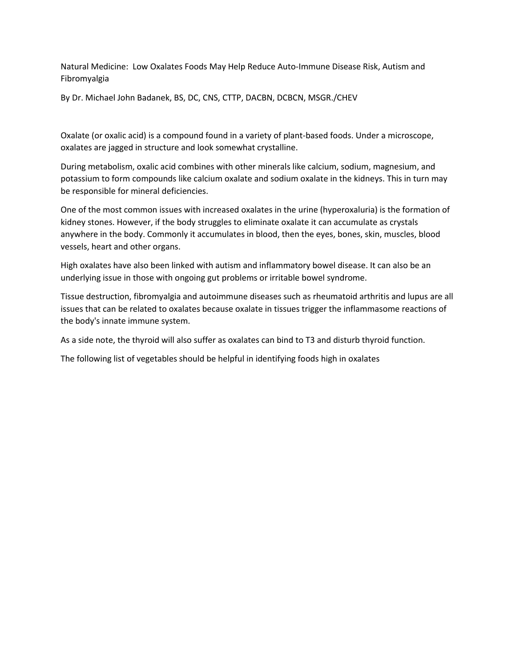Natural Medicine: Low Oxalates Foods May Help Reduce Auto-Immune Disease Risk, Autism and Fibromyalgia

By Dr. Michael John Badanek, BS, DC, CNS, CTTP, DACBN, DCBCN, MSGR./CHEV

Oxalate (or oxalic acid) is a compound found in a variety of plant-based foods. Under a microscope, oxalates are jagged in structure and look somewhat crystalline.

During metabolism, oxalic acid combines with other minerals like calcium, sodium, magnesium, and potassium to form compounds like calcium oxalate and sodium oxalate in the kidneys. This in turn may be responsible for mineral deficiencies.

One of the most common issues with increased oxalates in the urine (hyperoxaluria) is the formation of kidney stones. However, if the body struggles to eliminate oxalate it can accumulate as crystals anywhere in the body. Commonly it accumulates in blood, then the eyes, bones, skin, muscles, blood vessels, heart and other organs.

High oxalates have also been linked with autism and inflammatory bowel disease. It can also be an underlying issue in those with ongoing gut problems or irritable bowel syndrome.

Tissue destruction, fibromyalgia and autoimmune diseases such as rheumatoid arthritis and lupus are all issues that can be related to oxalates because oxalate in tissues trigger the inflammasome reactions of the body's innate immune system.

As a side note, the thyroid will also suffer as oxalates can bind to T3 and disturb thyroid function.

The following list of vegetables should be helpful in identifying foods high in oxalates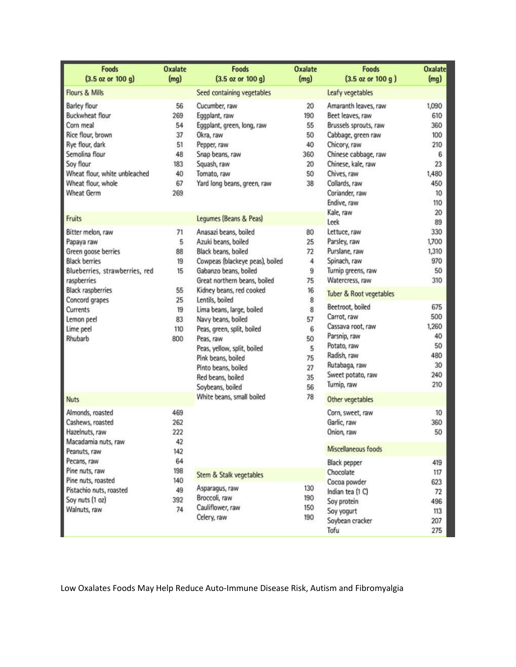| <b>Foods</b><br>$(3.5 \text{ oz or } 100 \text{ g})$                                                                                                                                                                            | <b>Oxalate</b><br>(mq)                                          | <b>Foods</b><br>$(3.5 \text{ oz or } 100 \text{ g})$                                                                                                                                                                                                                                                                                                                                                                              | <b>Oxalate</b><br>(mg)                                                                                     | <b>Foods</b><br>$(3.5 \text{ oz or } 100 \text{ g})$                                                                                                                                                                                                                                         | <b>Oxalate</b><br>(mq)                                                                                  |
|---------------------------------------------------------------------------------------------------------------------------------------------------------------------------------------------------------------------------------|-----------------------------------------------------------------|-----------------------------------------------------------------------------------------------------------------------------------------------------------------------------------------------------------------------------------------------------------------------------------------------------------------------------------------------------------------------------------------------------------------------------------|------------------------------------------------------------------------------------------------------------|----------------------------------------------------------------------------------------------------------------------------------------------------------------------------------------------------------------------------------------------------------------------------------------------|---------------------------------------------------------------------------------------------------------|
| Flours & Mills                                                                                                                                                                                                                  |                                                                 | Seed containing vegetables                                                                                                                                                                                                                                                                                                                                                                                                        |                                                                                                            | Leafy vegetables                                                                                                                                                                                                                                                                             |                                                                                                         |
| <b>Barley flour</b><br>Buckwheat flour<br>Corn meal<br>Rice flour, brown<br>Rye flour, dark<br>Semolina flour<br>Soy flour<br>Wheat flour, white unbleached<br>Wheat flour, whole<br><b>Wheat Germ</b>                          | 56<br>269<br>54<br>37<br>51<br>48<br>183<br>40<br>67<br>269     | Cucumber, raw<br>Eggplant, raw<br>Eggplant, green, long, raw<br>Okra, raw<br>Pepper, raw<br>Snap beans, raw<br>Squash, raw<br>Tomato, raw<br>Yard long beans, green, raw                                                                                                                                                                                                                                                          | 20<br>190<br>55<br>50<br>40<br>360<br>20<br>50<br>38                                                       | Amaranth leaves, raw<br>Beet leaves, raw<br>Brussels sprouts, raw<br>Cabbage, green raw<br>Chicory, raw<br>Chinese cabbage, raw<br>Chinese, kale, raw<br>Chives, raw<br>Collards, raw<br>Coriander, raw<br>Endive, raw<br>Kale, raw                                                          | 1,090<br>610<br>360<br>100<br>210<br>6<br>23<br>1,480<br>450<br>10<br>110<br>20                         |
| Fruits                                                                                                                                                                                                                          |                                                                 | Legumes (Beans & Peas)                                                                                                                                                                                                                                                                                                                                                                                                            |                                                                                                            | Leek                                                                                                                                                                                                                                                                                         | 89                                                                                                      |
| Bitter melon, raw<br>Papaya raw<br>Green goose berries<br><b>Black berries</b><br>Blueberries, strawberries, red<br>raspberries<br><b>Black raspberries</b><br>Concord grapes<br>Currents<br>Lemon peel<br>Lime peel<br>Rhubarb | 71<br>5<br>88<br>19<br>15<br>55<br>25<br>19<br>83<br>110<br>800 | Anasazi beans, boiled<br>Azuki beans, boiled<br>Black beans, boiled<br>Cowpeas (blackeye peas), boiled<br>Gabanzo beans, boiled<br>Great northern beans, boiled<br>Kidney beans, red cooked<br>Lentils, boiled<br>Lima beans, large, boiled<br>Navy beans, boiled<br>Peas, green, split, boiled<br>Peas, raw<br>Peas, yellow, split, boiled<br>Pink beans, boiled<br>Pinto beans, boiled<br>Red beans, boiled<br>Soybeans, boiled | 80<br>25<br>72<br>4<br>9<br>75<br>16<br>8<br>8<br>57<br>$6\phantom{1}6$<br>50<br>5<br>75<br>27<br>35<br>56 | Lettuce, raw<br>Parsley, raw<br>Purslane, raw<br>Spinach, raw<br>Turnip greens, raw<br>Watercress, raw<br>Tuber & Root vegetables<br>Beetroot, boiled<br>Carrot, raw<br>Cassava root, raw<br>Parsnip, raw<br>Potato, raw<br>Radish, raw<br>Rutabaga, raw<br>Sweet potato, raw<br>Turnip, raw | 330<br>1,700<br>1,310<br>970<br>50<br>310<br>675<br>500<br>1,260<br>40<br>50<br>480<br>30<br>240<br>210 |
| <b>Nuts</b>                                                                                                                                                                                                                     |                                                                 | White beans, small boiled                                                                                                                                                                                                                                                                                                                                                                                                         | 78                                                                                                         | Other vegetables                                                                                                                                                                                                                                                                             |                                                                                                         |
| Almonds, roasted<br>Cashews, roasted<br>Hazelnuts, raw<br>Macadamia nuts, raw                                                                                                                                                   | 469<br>262<br>222<br>42                                         |                                                                                                                                                                                                                                                                                                                                                                                                                                   |                                                                                                            | Corn, sweet, raw<br>Garlic, raw<br>Onion, raw                                                                                                                                                                                                                                                | 10<br>360<br>50                                                                                         |
| Peanuts, raw                                                                                                                                                                                                                    | 142                                                             |                                                                                                                                                                                                                                                                                                                                                                                                                                   |                                                                                                            | Miscellaneous foods                                                                                                                                                                                                                                                                          |                                                                                                         |
| Pecans, raw<br>Pine nuts, raw<br>Pine nuts, roasted<br>Pistachio nuts, roasted<br>Soy nuts (1 oz)<br>Walnuts, raw                                                                                                               | 64<br>198<br>140<br>49<br>392<br>74                             | Stem & Stalk vegetables<br>Asparagus, raw<br>Broccoli, raw<br>Cauliflower, raw<br>Celery, raw                                                                                                                                                                                                                                                                                                                                     | 130<br>190<br>150<br>190                                                                                   | <b>Black pepper</b><br>Chocolate<br>Cocoa powder<br>Indian tea (1 C)<br>Soy protein<br>Soy yogurt<br>Soybean cracker<br>Tofu                                                                                                                                                                 | 419<br>117<br>623<br>72<br>496<br>113<br>207<br>275                                                     |

Low Oxalates Foods May Help Reduce Auto-Immune Disease Risk, Autism and Fibromyalgia